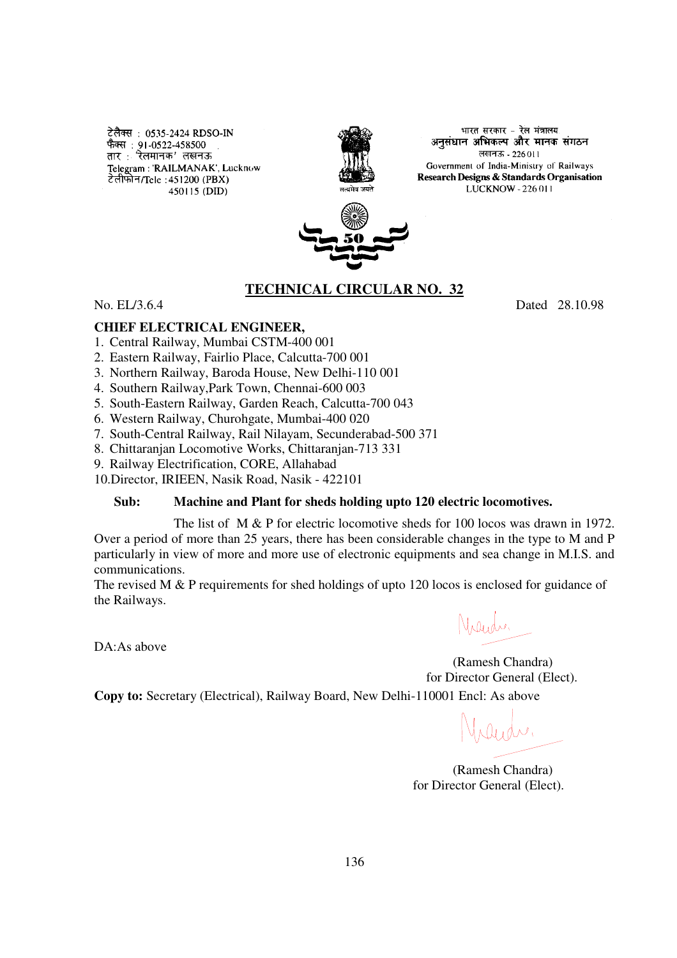टेलैक्स : 0535-2424 RDSO-IN फैक्स : 91-0522-458500 तार : रेलमानक' लखनऊ Telegram: 'RAILMANAK', Lucknow टेलीफोन/Tele: 451200 (PBX) 450115 (DID)



भारत सरकार - रेल मंत्रालय. अनुसंधान अभिकल्प और मानक संगठन लखनऊ - 226011 Government of India-Ministry of Railways Research Designs & Standards Organisation LUCKNOW - 226 011



# **TECHNICAL CIRCULAR NO. 32**

No. EL/3.6.4 Dated 28.10.98

#### **CHIEF ELECTRICAL ENGINEER,**

- 1. Central Railway, Mumbai CSTM-400 001
- 2. Eastern Railway, Fairlio Place, Calcutta-700 001
- 3. Northern Railway, Baroda House, New Delhi-110 001
- 4. Southern Railway,Park Town, Chennai-600 003
- 5. South-Eastern Railway, Garden Reach, Calcutta-700 043
- 6. Western Railway, Churohgate, Mumbai-400 020
- 7. South-Central Railway, Rail Nilayam, Secunderabad-500 371
- 8. Chittaranjan Locomotive Works, Chittaranjan-713 331
- 9. Railway Electrification, CORE, Allahabad

10.Director, IRIEEN, Nasik Road, Nasik - 422101

#### **Sub: Machine and Plant for sheds holding upto 120 electric locomotives.**

The list of M & P for electric locomotive sheds for 100 locos was drawn in 1972. Over a period of more than 25 years, there has been considerable changes in the type to M and P particularly in view of more and more use of electronic equipments and sea change in M.I.S. and communications.

The revised M & P requirements for shed holdings of upto 120 locos is enclosed for guidance of the Railways.

DA:As above

yrander.

 (Ramesh Chandra) for Director General (Elect).

**Copy to:** Secretary (Electrical), Railway Board, New Delhi-110001 Encl: As above

 (Ramesh Chandra) for Director General (Elect).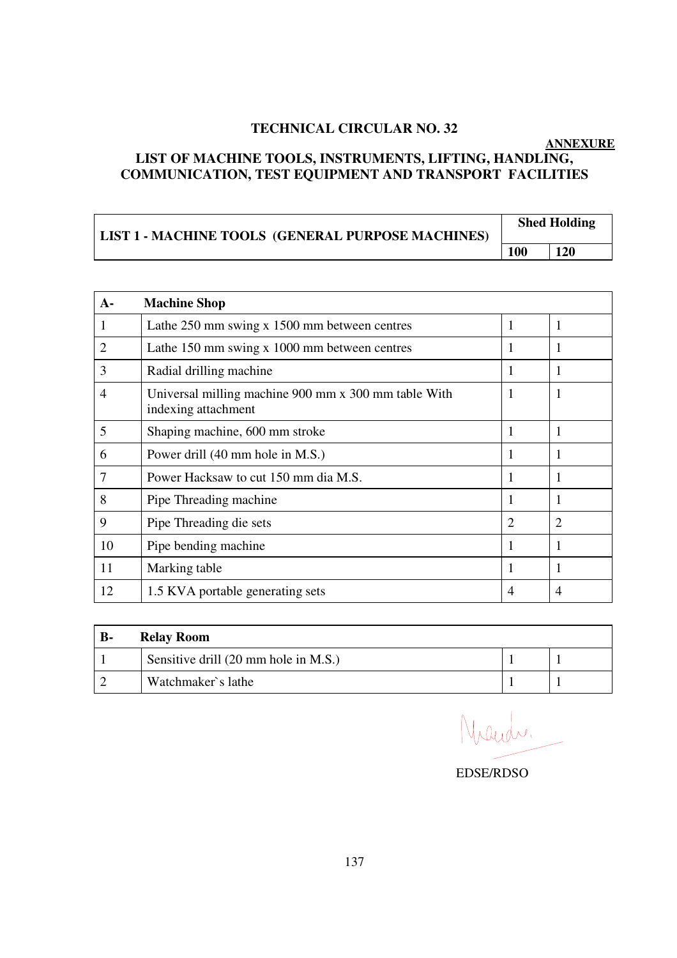### **TECHNICAL CIRCULAR NO. 32**

## **ANNEXURE LIST OF MACHINE TOOLS, INSTRUMENTS, LIFTING, HANDLING, COMMUNICATION, TEST EQUIPMENT AND TRANSPORT FACILITIES**

| LIST 1 - MACHINE TOOLS (GENERAL PURPOSE MACHINES) | <b>Shed Holding</b> |            |
|---------------------------------------------------|---------------------|------------|
|                                                   | <b>100</b>          | <b>120</b> |

| $A -$          | <b>Machine Shop</b>                                                         |                |    |
|----------------|-----------------------------------------------------------------------------|----------------|----|
|                | Lathe 250 mm swing x 1500 mm between centres                                | 1              | -1 |
| 2              | Lathe 150 mm swing x 1000 mm between centres                                | 1              | -1 |
| 3              | Radial drilling machine                                                     | 1              |    |
| 4              | Universal milling machine 900 mm x 300 mm table With<br>indexing attachment | 1              |    |
| 5              | Shaping machine, 600 mm stroke                                              | 1              | 1  |
| 6              | Power drill (40 mm hole in M.S.)                                            | 1              |    |
| $\overline{7}$ | Power Hacksaw to cut 150 mm dia M.S.                                        | 1              |    |
| 8              | Pipe Threading machine                                                      | 1              | 1  |
| 9              | Pipe Threading die sets                                                     | 2              | 2  |
| 10             | Pipe bending machine                                                        | 1              |    |
| 11             | Marking table                                                               | 1              |    |
| 12             | 1.5 KVA portable generating sets                                            | $\overline{4}$ | 4  |

| <b>B-</b> | <b>Relay Room</b>                    |  |
|-----------|--------------------------------------|--|
|           | Sensitive drill (20 mm hole in M.S.) |  |
|           | Watchmaker's lathe                   |  |

Nacida.

EDSE/RDSO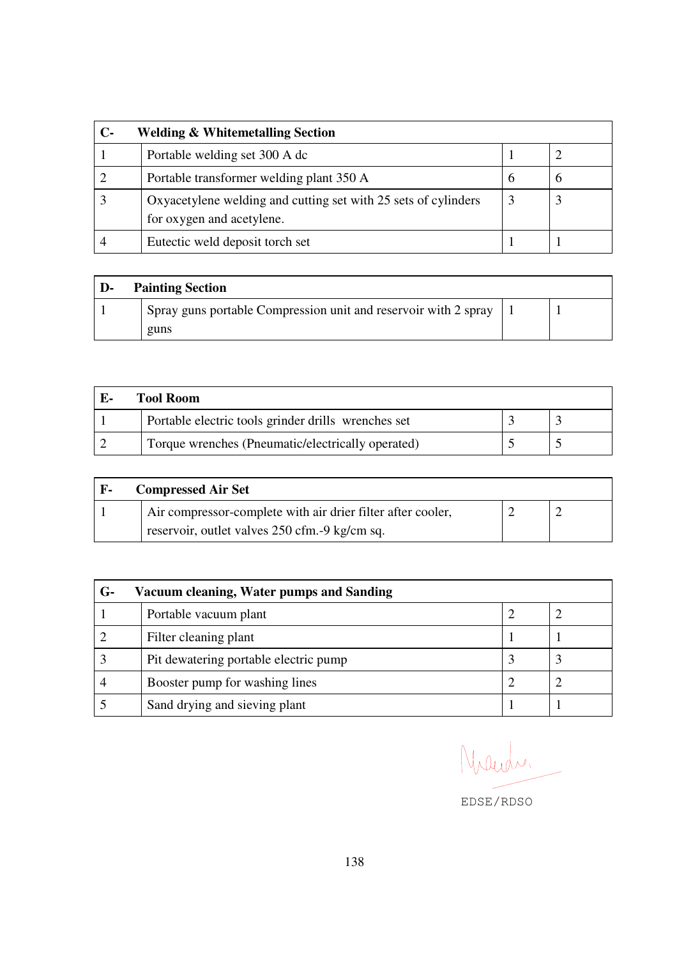| С- | <b>Welding &amp; Whitemetalling Section</b>                                                 |   |  |  |
|----|---------------------------------------------------------------------------------------------|---|--|--|
|    | Portable welding set 300 A dc                                                               |   |  |  |
|    | Portable transformer welding plant 350 A                                                    | 6 |  |  |
|    | Oxyacetylene welding and cutting set with 25 sets of cylinders<br>for oxygen and acetylene. | 3 |  |  |
|    | Eutectic weld deposit torch set                                                             |   |  |  |

| D- | <b>Painting Section</b>                                         |  |
|----|-----------------------------------------------------------------|--|
|    | Spray guns portable Compression unit and reservoir with 2 spray |  |
|    | guns                                                            |  |

| Tool Room-                                          |  |
|-----------------------------------------------------|--|
| Portable electric tools grinder drills wrenches set |  |
| Torque wrenches (Pneumatic/electrically operated)   |  |

| . F- | <b>Compressed Air Set</b>                                   |  |  |  |
|------|-------------------------------------------------------------|--|--|--|
|      | Air compressor-complete with air drier filter after cooler, |  |  |  |
|      | reservoir, outlet valves 250 cfm. -9 kg/cm sq.              |  |  |  |

| $G-$ | Vacuum cleaning, Water pumps and Sanding |  |  |  |
|------|------------------------------------------|--|--|--|
|      | Portable vacuum plant                    |  |  |  |
|      | Filter cleaning plant                    |  |  |  |
|      | Pit dewatering portable electric pump    |  |  |  |
|      | Booster pump for washing lines           |  |  |  |
|      | Sand drying and sieving plant            |  |  |  |

Maudi.

EDSE/RDSO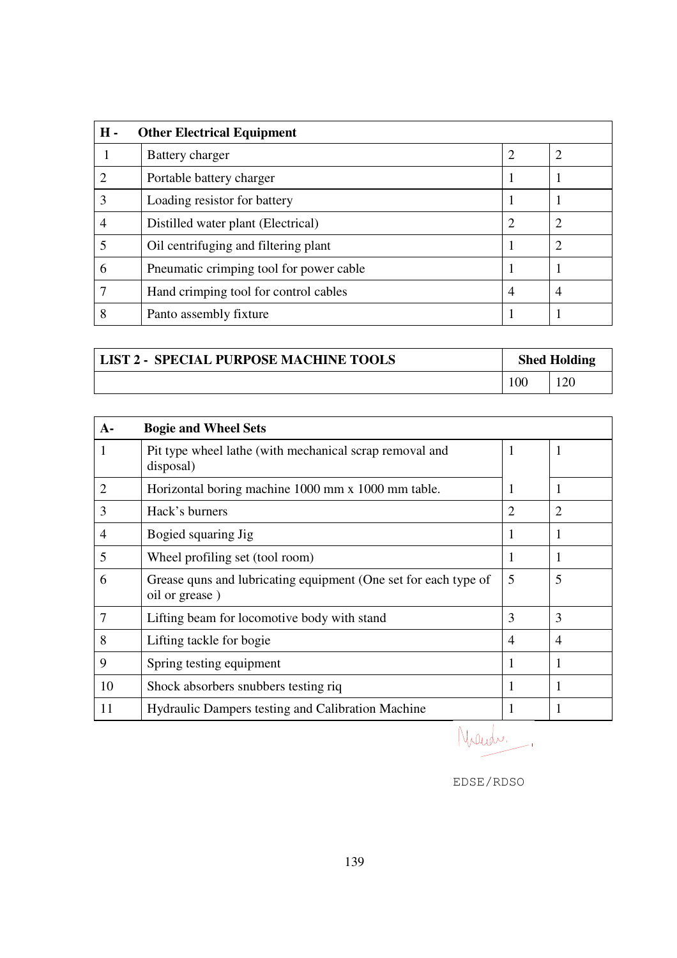| $H -$<br><b>Other Electrical Equipment</b> |                                         |                |   |
|--------------------------------------------|-----------------------------------------|----------------|---|
|                                            | Battery charger                         | 2              |   |
| ∍                                          | Portable battery charger                |                |   |
| 3                                          | Loading resistor for battery            |                |   |
|                                            | Distilled water plant (Electrical)      | $\overline{2}$ |   |
|                                            | Oil centrifuging and filtering plant    |                |   |
| 6                                          | Pneumatic crimping tool for power cable |                |   |
|                                            | Hand crimping tool for control cables   | 4              | 4 |
| 8                                          | Panto assembly fixture                  |                |   |

| LIST 2 - SPECIAL PURPOSE MACHINE TOOLS | <b>Shed Holding</b> |  |
|----------------------------------------|---------------------|--|
|                                        | 100                 |  |

| $A-$           | <b>Bogie and Wheel Sets</b>                                                       |   |                |
|----------------|-----------------------------------------------------------------------------------|---|----------------|
| 1              | Pit type wheel lathe (with mechanical scrap removal and<br>disposal)              | 1 |                |
| $\overline{2}$ | Horizontal boring machine 1000 mm x 1000 mm table.                                | 1 |                |
| 3              | Hack's burners                                                                    | 2 |                |
| $\overline{4}$ | Bogied squaring Jig                                                               | 1 |                |
| 5              | Wheel profiling set (tool room)                                                   | 1 |                |
| 6              | Grease quns and lubricating equipment (One set for each type of<br>oil or grease) | 5 | 5              |
| 7              | Lifting beam for locomotive body with stand                                       | 3 | 3              |
| 8              | Lifting tackle for bogie                                                          | 4 | $\overline{4}$ |
| 9              | Spring testing equipment                                                          | 1 |                |
| 10             | Shock absorbers snubbers testing riq                                              | 1 |                |
| 11             | <b>Hydraulic Dampers testing and Calibration Machine</b>                          |   |                |

Naudr.

EDSE/RDSO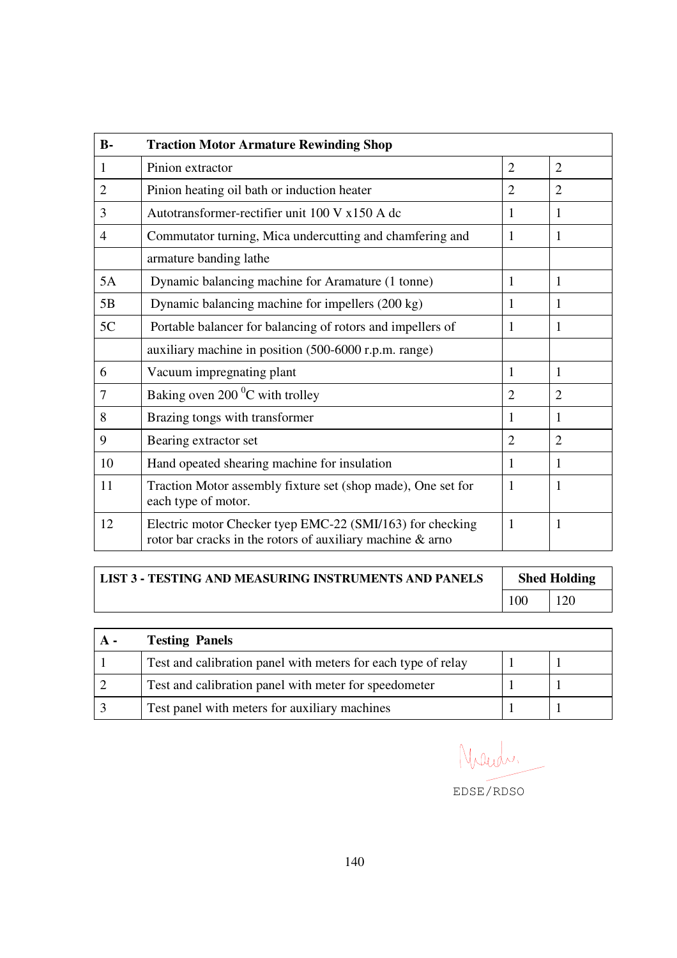| $B -$  | <b>Traction Motor Armature Rewinding Shop</b>                                                                           |                |                |
|--------|-------------------------------------------------------------------------------------------------------------------------|----------------|----------------|
| 1      | Pinion extractor                                                                                                        | $\overline{2}$ | $\overline{2}$ |
| 2      | Pinion heating oil bath or induction heater                                                                             | $\overline{2}$ | $\overline{2}$ |
| 3      | Autotransformer-rectifier unit 100 V x150 A dc                                                                          | 1              | 1              |
| 4      | Commutator turning, Mica undercutting and chamfering and                                                                | 1              | 1              |
|        | armature banding lathe                                                                                                  |                |                |
| 5A     | Dynamic balancing machine for Aramature (1 tonne)                                                                       | 1              | $\mathbf{1}$   |
| 5B     | Dynamic balancing machine for impellers (200 kg)                                                                        | 1              | 1              |
| 5C     | Portable balancer for balancing of rotors and impellers of                                                              | 1              | 1              |
|        | auxiliary machine in position (500-6000 r.p.m. range)                                                                   |                |                |
| 6      | Vacuum impregnating plant                                                                                               | 1              | 1              |
| $\tau$ | Baking oven 200 °C with trolley                                                                                         | $\overline{2}$ | $\overline{2}$ |
| 8      | Brazing tongs with transformer                                                                                          | 1              | 1              |
| 9      | Bearing extractor set                                                                                                   | $\overline{2}$ | $\overline{2}$ |
| 10     | Hand opeated shearing machine for insulation                                                                            | 1              | 1              |
| 11     | Traction Motor assembly fixture set (shop made), One set for<br>each type of motor.                                     | $\mathbf{1}$   | 1              |
| 12     | Electric motor Checker tyep EMC-22 (SMI/163) for checking<br>rotor bar cracks in the rotors of auxiliary machine & arno | 1              | 1              |

| <b>LIST 3 - TESTING AND MEASURING INSTRUMENTS AND PANELS</b> | <b>Shed Holding</b> |     |  |
|--------------------------------------------------------------|---------------------|-----|--|
|                                                              | 100                 | 120 |  |

| $A -$ | <b>Testing Panels</b>                                         |  |
|-------|---------------------------------------------------------------|--|
|       | Test and calibration panel with meters for each type of relay |  |
|       | Test and calibration panel with meter for speedometer         |  |
|       | Test panel with meters for auxiliary machines                 |  |

Naudr.

EDSE/RDSO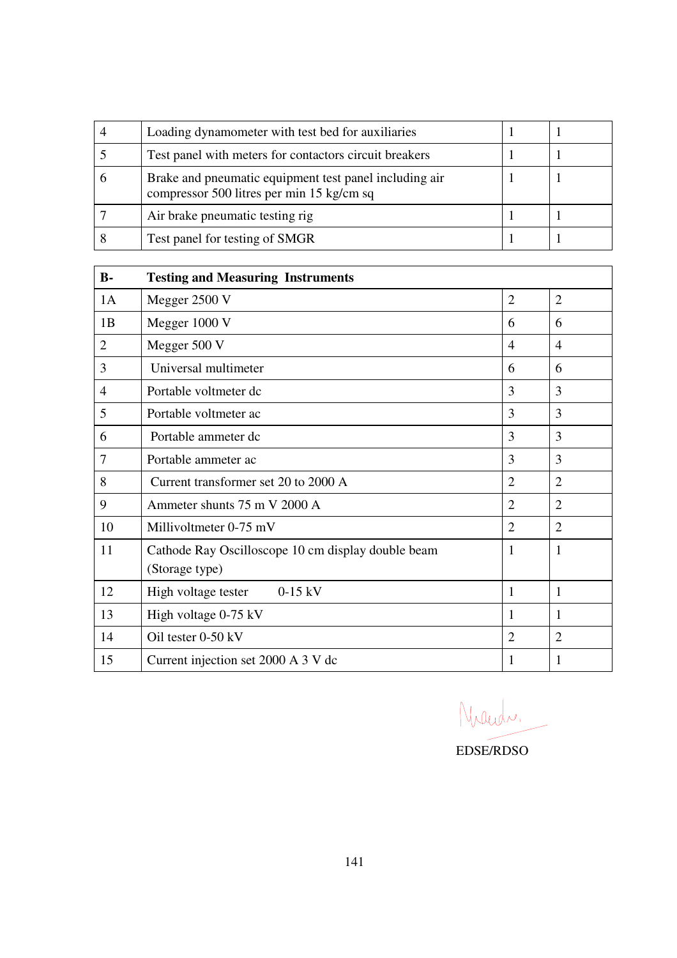| Loading dynamometer with test bed for auxiliaries                                                   |  |
|-----------------------------------------------------------------------------------------------------|--|
| Test panel with meters for contactors circuit breakers                                              |  |
| Brake and pneumatic equipment test panel including air<br>compressor 500 litres per min 15 kg/cm sq |  |
| Air brake pneumatic testing rig                                                                     |  |
| Test panel for testing of SMGR                                                                      |  |

| $B -$          | <b>Testing and Measuring Instruments</b>                             |                |                |
|----------------|----------------------------------------------------------------------|----------------|----------------|
| 1A             | Megger 2500 V                                                        | $\overline{2}$ | $\overline{2}$ |
| 1B             | Megger 1000 V                                                        | 6              | 6              |
| 2              | Megger 500 V                                                         | $\overline{4}$ | $\overline{4}$ |
| 3              | Universal multimeter                                                 | 6              | 6              |
| $\overline{4}$ | Portable voltmeter dc                                                | 3              | 3              |
| 5              | Portable voltmeter ac                                                | 3              | 3              |
| 6              | Portable ammeter dc                                                  | 3              | 3              |
| 7              | Portable ammeter ac                                                  | 3              | 3              |
| 8              | Current transformer set 20 to 2000 A                                 | $\overline{2}$ | $\overline{2}$ |
| 9              | Ammeter shunts 75 m V 2000 A                                         | $\overline{2}$ | $\overline{2}$ |
| 10             | Millivoltmeter 0-75 mV                                               | $\overline{2}$ | $\overline{2}$ |
| 11             | Cathode Ray Oscilloscope 10 cm display double beam<br>(Storage type) | 1              | 1              |
| 12             | High voltage tester<br>$0-15$ kV                                     | 1              | 1              |
| 13             | High voltage 0-75 kV                                                 | 1              | 1              |
| 14             | Oil tester 0-50 kV                                                   | $\overline{2}$ | $\overline{2}$ |
| 15             | Current injection set 2000 A 3 V dc                                  | 1              | 1              |

Nacida.

EDSE/RDSO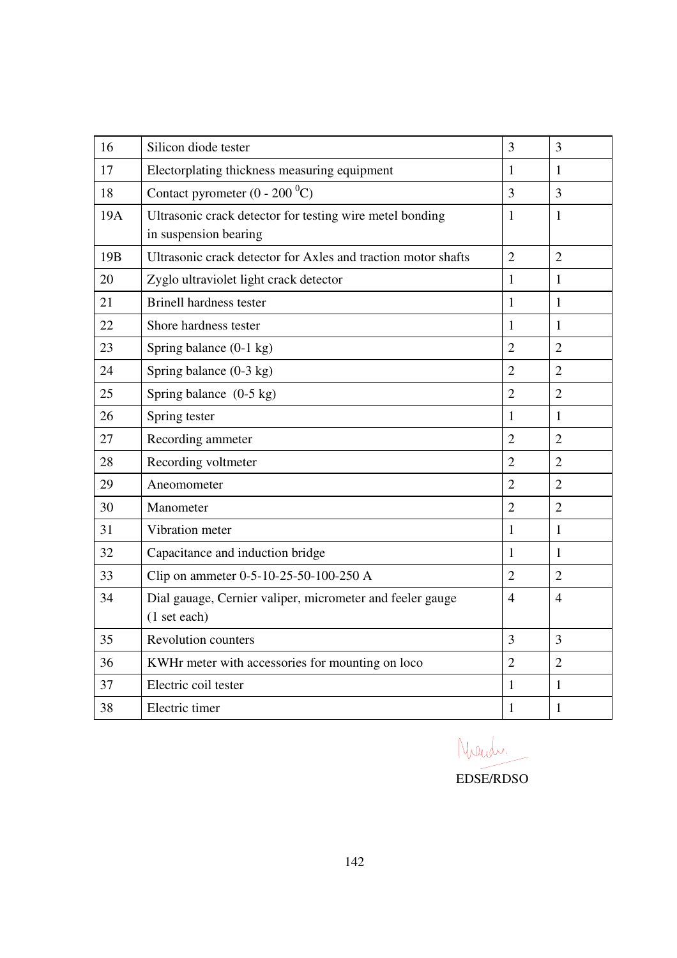| 16              | Silicon diode tester                                          | 3              | $\overline{3}$ |
|-----------------|---------------------------------------------------------------|----------------|----------------|
| 17              | Electorplating thickness measuring equipment                  | $\mathbf{1}$   | $\mathbf{1}$   |
| 18              | Contact pyrometer $(0 - 200 \degree C)$                       | 3              | 3              |
| 19A             | Ultrasonic crack detector for testing wire metel bonding      | $\mathbf{1}$   | $\mathbf{1}$   |
|                 | in suspension bearing                                         |                |                |
| 19 <sub>B</sub> | Ultrasonic crack detector for Axles and traction motor shafts | $\overline{2}$ | $\overline{2}$ |
| 20              | Zyglo ultraviolet light crack detector                        | $\mathbf{1}$   | $\mathbf{1}$   |
| 21              | <b>Brinell hardness tester</b>                                | 1              | $\mathbf{1}$   |
| 22              | Shore hardness tester                                         | $\mathbf{1}$   | $\mathbf{1}$   |
| 23              | Spring balance (0-1 kg)                                       | $\overline{2}$ | $\overline{2}$ |
| 24              | Spring balance $(0-3 \text{ kg})$                             | $\overline{2}$ | $\overline{2}$ |
| 25              | Spring balance $(0-5 \text{ kg})$                             | $\overline{2}$ | $\overline{2}$ |
| 26              | Spring tester                                                 | $\mathbf{1}$   | $\mathbf{1}$   |
| 27              | Recording ammeter                                             | $\overline{2}$ | $\overline{2}$ |
| 28              | Recording voltmeter                                           | $\overline{2}$ | $\overline{2}$ |
| 29              | Aneomometer                                                   | $\overline{2}$ | $\overline{2}$ |
| 30              | Manometer                                                     | $\overline{2}$ | $\overline{2}$ |
| 31              | Vibration meter                                               | $\mathbf{1}$   | $\mathbf{1}$   |
| 32              | Capacitance and induction bridge                              | $\mathbf{1}$   | $\mathbf{1}$   |
| 33              | Clip on ammeter 0-5-10-25-50-100-250 A                        | $\overline{2}$ | $\overline{2}$ |
| 34              | Dial gauage, Cernier valiper, micrometer and feeler gauge     | $\overline{4}$ | $\overline{4}$ |
|                 | (1 set each)                                                  |                |                |
| 35              | <b>Revolution counters</b>                                    | 3              | $\overline{3}$ |
| 36              | KWHr meter with accessories for mounting on loco              | $\overline{2}$ | $\overline{2}$ |
| 37              | Electric coil tester                                          | $\mathbf{1}$   | $\mathbf{1}$   |
| 38              | Electric timer                                                | $\mathbf{1}$   | $\mathbf{1}$   |

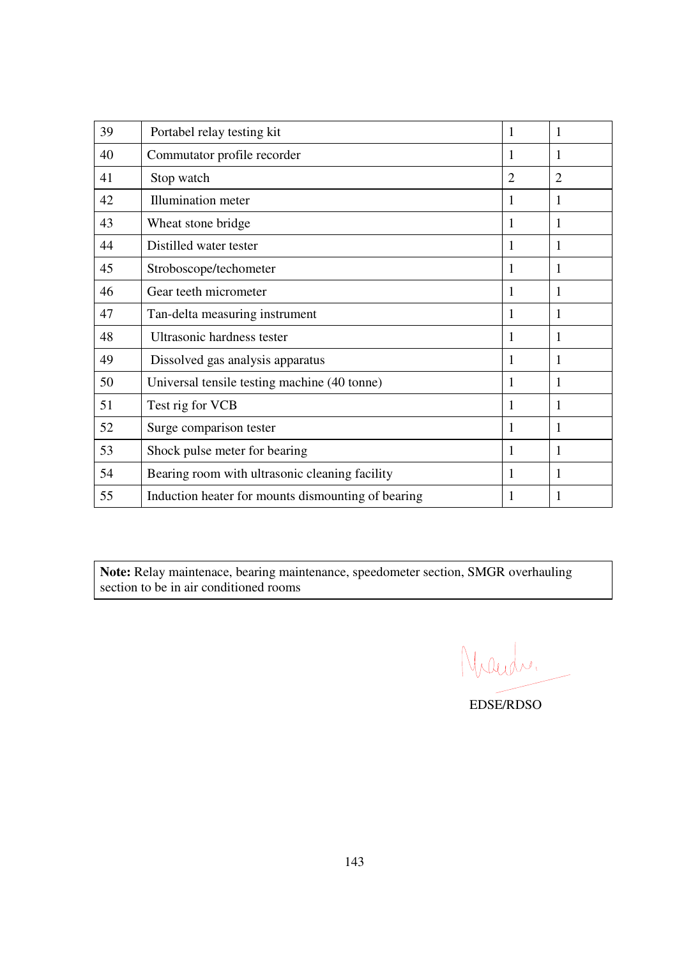| 39 | Portabel relay testing kit                         | 1              | 1              |
|----|----------------------------------------------------|----------------|----------------|
| 40 | Commutator profile recorder                        | 1              | 1              |
| 41 | Stop watch                                         | $\overline{2}$ | $\overline{2}$ |
| 42 | <b>Illumination</b> meter                          | 1              | 1              |
| 43 | Wheat stone bridge                                 | 1              | 1              |
| 44 | Distilled water tester                             | 1              | 1              |
| 45 | Stroboscope/techometer                             | 1              | 1              |
| 46 | Gear teeth micrometer                              | 1              | 1              |
| 47 | Tan-delta measuring instrument                     | 1              | 1              |
| 48 | Ultrasonic hardness tester                         | 1              | 1              |
| 49 | Dissolved gas analysis apparatus                   | 1              | 1              |
| 50 | Universal tensile testing machine (40 tonne)       | 1              | 1              |
| 51 | Test rig for VCB                                   | 1              | 1              |
| 52 | Surge comparison tester                            | 1              | 1              |
| 53 | Shock pulse meter for bearing                      | 1              | 1              |
| 54 | Bearing room with ultrasonic cleaning facility     | 1              | 1              |
| 55 | Induction heater for mounts dismounting of bearing | 1              |                |

**Note:** Relay maintenace, bearing maintenance, speedometer section, SMGR overhauling section to be in air conditioned rooms

Nicede.

EDSE/RDSO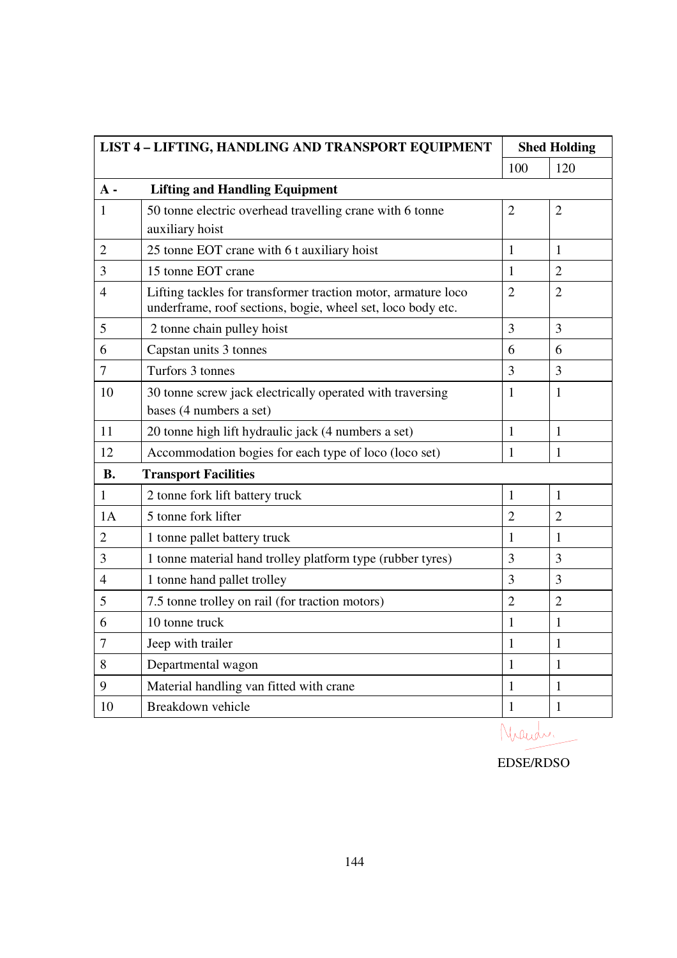| LIST 4 - LIFTING, HANDLING AND TRANSPORT EQUIPMENT |                                                                                                                              | <b>Shed Holding</b> |                |
|----------------------------------------------------|------------------------------------------------------------------------------------------------------------------------------|---------------------|----------------|
|                                                    |                                                                                                                              | 100                 | 120            |
| $A -$                                              | <b>Lifting and Handling Equipment</b>                                                                                        |                     |                |
| 1                                                  | 50 tonne electric overhead travelling crane with 6 tonne                                                                     | $\overline{2}$      | $\overline{2}$ |
|                                                    | auxiliary hoist                                                                                                              |                     |                |
| $\overline{2}$                                     | 25 tonne EOT crane with 6 t auxiliary hoist                                                                                  | $\mathbf{1}$        | $\mathbf{1}$   |
| 3                                                  | 15 tonne EOT crane                                                                                                           | 1                   | $\overline{2}$ |
| $\overline{4}$                                     | Lifting tackles for transformer traction motor, armature loco<br>underframe, roof sections, bogie, wheel set, loco body etc. | $\overline{2}$      | $\overline{2}$ |
| 5                                                  | 2 tonne chain pulley hoist                                                                                                   | 3                   | 3              |
| 6                                                  | Capstan units 3 tonnes                                                                                                       | 6                   | 6              |
| $\overline{7}$                                     | Turfors 3 tonnes                                                                                                             | 3                   | $\overline{3}$ |
| 10                                                 | 30 tonne screw jack electrically operated with traversing                                                                    | 1                   | $\mathbf{1}$   |
|                                                    | bases (4 numbers a set)                                                                                                      |                     |                |
| 11                                                 | 20 tonne high lift hydraulic jack (4 numbers a set)                                                                          | $\mathbf{1}$        | $\mathbf{1}$   |
| 12                                                 | Accommodation bogies for each type of loco (loco set)                                                                        | $\mathbf{1}$        | $\mathbf{1}$   |
| <b>B.</b>                                          | <b>Transport Facilities</b>                                                                                                  |                     |                |
| $\mathbf{1}$                                       | 2 tonne fork lift battery truck                                                                                              | 1                   | 1              |
| 1A                                                 | 5 tonne fork lifter                                                                                                          | $\overline{2}$      | $\overline{2}$ |
| $\overline{2}$                                     | 1 tonne pallet battery truck                                                                                                 | 1                   | 1              |
| 3                                                  | 1 tonne material hand trolley platform type (rubber tyres)                                                                   | 3                   | 3              |
| $\overline{4}$                                     | 1 tonne hand pallet trolley                                                                                                  | 3                   | 3              |
| 5                                                  | 7.5 tonne trolley on rail (for traction motors)                                                                              | $\overline{2}$      | $\overline{2}$ |
| 6                                                  | 10 tonne truck                                                                                                               | $\mathbf{1}$        | $\mathbf{1}$   |
| 7                                                  | Jeep with trailer                                                                                                            | $\mathbf{1}$        | $\mathbf{1}$   |
| 8                                                  | Departmental wagon                                                                                                           | $\mathbf{1}$        | $\mathbf{1}$   |
| 9                                                  | Material handling van fitted with crane                                                                                      | 1                   | $\mathbf{1}$   |
| 10                                                 | Breakdown vehicle                                                                                                            | $\mathbf{1}$        | $\mathbf{1}$   |

Niand.

EDSE/RDSO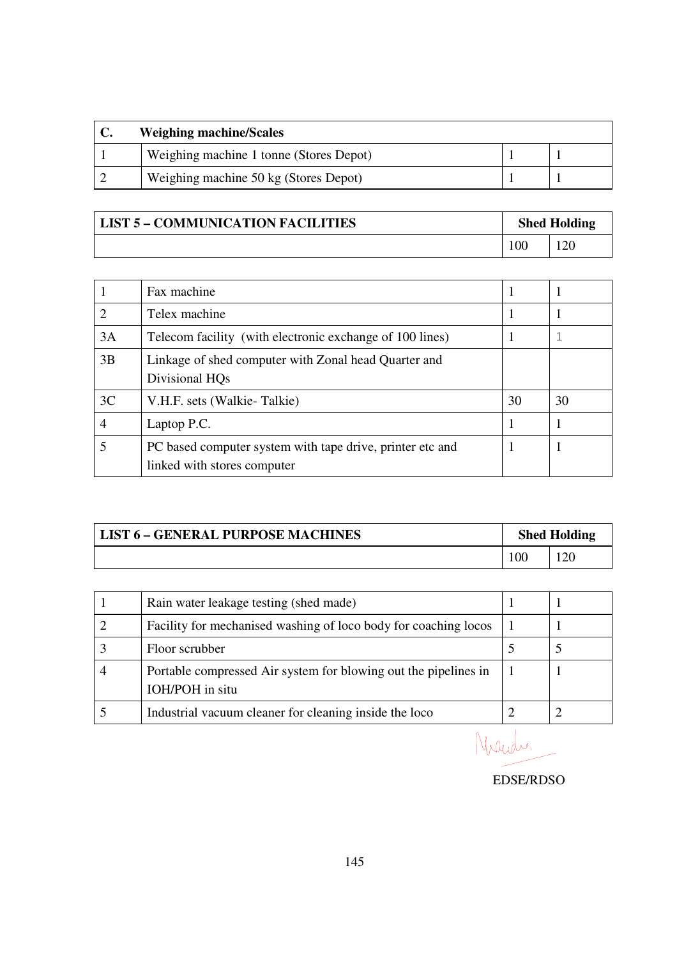| <b>Weighing machine/Scales</b>          |  |  |  |
|-----------------------------------------|--|--|--|
| Weighing machine 1 tonne (Stores Depot) |  |  |  |
| Weighing machine 50 kg (Stores Depot)   |  |  |  |

| <b>LIST 5 - COMMUNICATION FACILITIES</b> | <b>Shed Holding</b> |  |
|------------------------------------------|---------------------|--|
|                                          | $\overline{00}$     |  |

|    | Fax machine                                                                              |    |    |
|----|------------------------------------------------------------------------------------------|----|----|
| ∍  | Telex machine                                                                            |    |    |
| 3A | Telecom facility (with electronic exchange of 100 lines)                                 |    |    |
| 3B | Linkage of shed computer with Zonal head Quarter and<br>Divisional HO <sub>s</sub>       |    |    |
| 3C | V.H.F. sets (Walkie-Talkie)                                                              | 30 | 30 |
|    | Laptop P.C.                                                                              |    |    |
|    | PC based computer system with tape drive, printer etc and<br>linked with stores computer |    |    |

| <b>LIST 6 - GENERAL PURPOSE MACHINES</b> | <b>Shed Holding</b> |  |
|------------------------------------------|---------------------|--|
|                                          | 100                 |  |

| Rain water leakage testing (shed made)                                             |  |
|------------------------------------------------------------------------------------|--|
| Facility for mechanised washing of loco body for coaching locos                    |  |
| Floor scrubber                                                                     |  |
| Portable compressed Air system for blowing out the pipelines in<br>IOH/POH in situ |  |
| Industrial vacuum cleaner for cleaning inside the loco                             |  |

Nach.

EDSE/RDSO